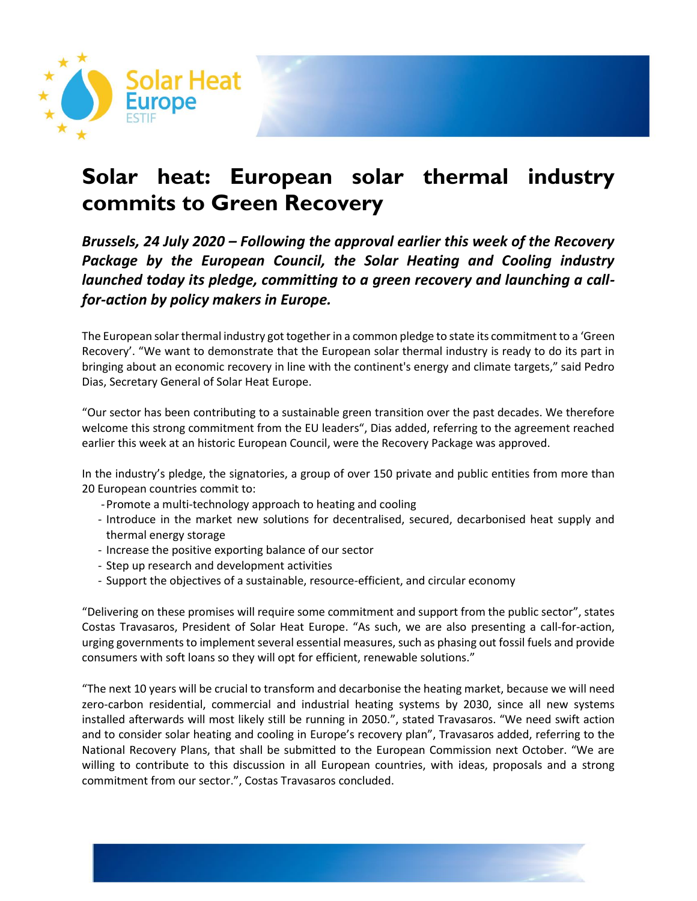

# **Solar heat: European solar thermal industry commits to Green Recovery**

*Brussels, 24 July 2020 – Following the approval earlier this week of the Recovery*  Package by the European Council, the Solar Heating and Cooling industry *launched today its pledge, committing to a green recovery and launching a callfor-action by policy makers in Europe.*

The European solar thermal industry got together in a common pledge to state its commitment to a 'Green Recovery'. "We want to demonstrate that the European solar thermal industry is ready to do its part in bringing about an economic recovery in line with the continent's energy and climate targets," said Pedro Dias, Secretary General of Solar Heat Europe.

"Our sector has been contributing to a sustainable green transition over the past decades. We therefore welcome this strong commitment from the EU leaders", Dias added, referring to the agreement reached earlier this week at an historic European Council, were the Recovery Package was approved.

In the industry's pledge, the signatories, a group of over 150 private and public entities from more than 20 European countries commit to:

- -Promote a multi-technology approach to heating and cooling
- Introduce in the market new solutions for decentralised, secured, decarbonised heat supply and thermal energy storage
- Increase the positive exporting balance of our sector
- Step up research and development activities
- Support the objectives of a sustainable, resource-efficient, and circular economy

"Delivering on these promises will require some commitment and support from the public sector", states Costas Travasaros, President of Solar Heat Europe. "As such, we are also presenting a call-for-action, urging governments to implement several essential measures, such as phasing out fossil fuels and provide consumers with soft loans so they will opt for efficient, renewable solutions."

"The next 10 years will be crucial to transform and decarbonise the heating market, because we will need zero-carbon residential, commercial and industrial heating systems by 2030, since all new systems installed afterwards will most likely still be running in 2050.", stated Travasaros. "We need swift action and to consider solar heating and cooling in Europe's recovery plan", Travasaros added, referring to the National Recovery Plans, that shall be submitted to the European Commission next October. "We are willing to contribute to this discussion in all European countries, with ideas, proposals and a strong commitment from our sector.", Costas Travasaros concluded.